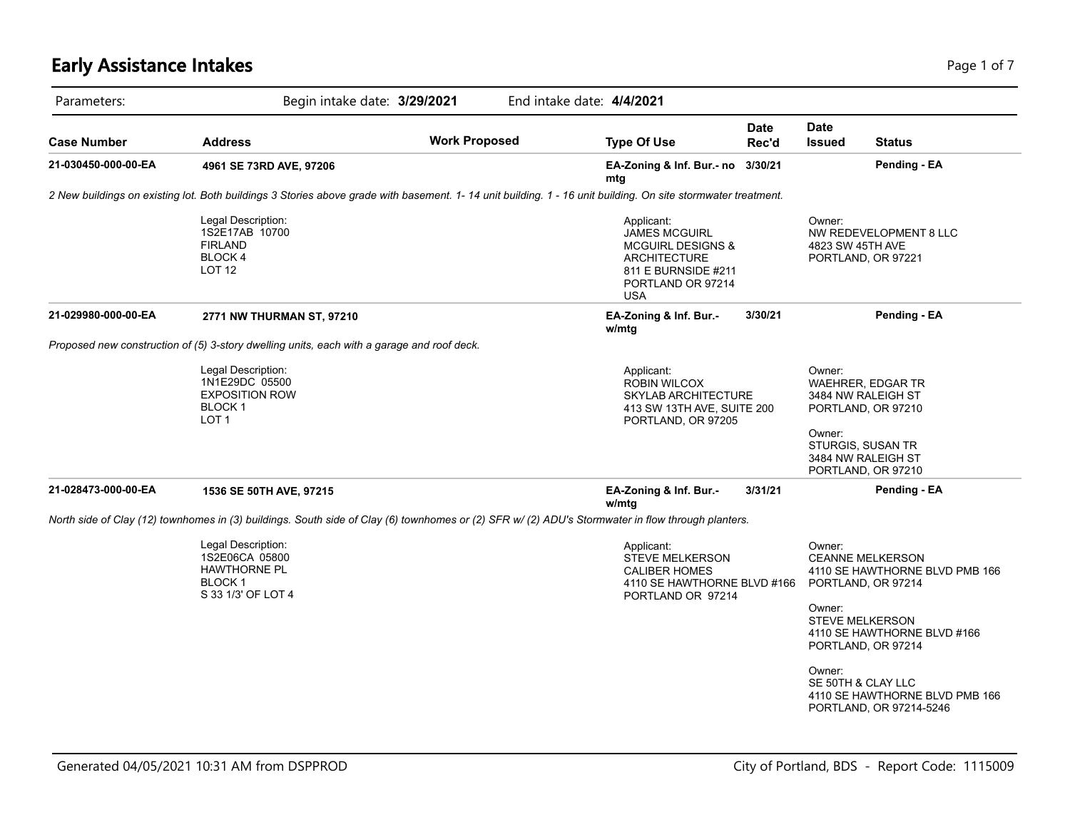# **Early Assistance Intakes** Page 1 of 7

| Parameters:         | Begin intake date: 3/29/2021                                                                                                                                 |                      | End intake date: 4/4/2021                                                                                                                    |                      |                                                                            |                                                                                                                                                                                                   |
|---------------------|--------------------------------------------------------------------------------------------------------------------------------------------------------------|----------------------|----------------------------------------------------------------------------------------------------------------------------------------------|----------------------|----------------------------------------------------------------------------|---------------------------------------------------------------------------------------------------------------------------------------------------------------------------------------------------|
| <b>Case Number</b>  | <b>Address</b>                                                                                                                                               | <b>Work Proposed</b> | <b>Type Of Use</b>                                                                                                                           | <b>Date</b><br>Rec'd | <b>Date</b><br><b>Issued</b>                                               | <b>Status</b>                                                                                                                                                                                     |
| 21-030450-000-00-EA | 4961 SE 73RD AVE, 97206                                                                                                                                      |                      | EA-Zoning & Inf. Bur.- no<br>mtg                                                                                                             | 3/30/21              |                                                                            | Pending - EA                                                                                                                                                                                      |
|                     | 2 New buildings on existing lot. Both buildings 3 Stories above grade with basement. 1-14 unit building. 1 - 16 unit building. On site stormwater treatment. |                      |                                                                                                                                              |                      |                                                                            |                                                                                                                                                                                                   |
|                     | Legal Description:<br>1S2E17AB 10700<br><b>FIRLAND</b><br>BLOCK 4<br>LOT <sub>12</sub>                                                                       |                      | Applicant:<br><b>JAMES MCGUIRL</b><br><b>MCGUIRL DESIGNS &amp;</b><br>ARCHITECTURE<br>811 E BURNSIDE #211<br>PORTLAND OR 97214<br><b>USA</b> |                      | Owner:<br>4823 SW 45TH AVE                                                 | NW REDEVELOPMENT 8 LLC<br>PORTLAND, OR 97221                                                                                                                                                      |
| 21-029980-000-00-EA | 2771 NW THURMAN ST, 97210                                                                                                                                    |                      | EA-Zoning & Inf. Bur.-<br>w/mtg                                                                                                              | 3/30/21              |                                                                            | Pending - EA                                                                                                                                                                                      |
|                     | Proposed new construction of (5) 3-story dwelling units, each with a garage and roof deck.                                                                   |                      |                                                                                                                                              |                      |                                                                            |                                                                                                                                                                                                   |
|                     | Legal Description:<br>1N1E29DC 05500<br><b>EXPOSITION ROW</b><br>BLOCK 1<br>LOT <sub>1</sub>                                                                 |                      | Applicant:<br>ROBIN WILCOX<br><b>SKYLAB ARCHITECTURE</b><br>413 SW 13TH AVE, SUITE 200<br>PORTLAND, OR 97205                                 |                      | Owner:<br>Owner:                                                           | WAEHRER, EDGAR TR<br>3484 NW RALEIGH ST<br>PORTLAND, OR 97210<br>STURGIS, SUSAN TR<br>3484 NW RALEIGH ST<br>PORTLAND, OR 97210                                                                    |
| 21-028473-000-00-EA | 1536 SE 50TH AVE, 97215                                                                                                                                      |                      | EA-Zoning & Inf. Bur.-<br>w/mtg                                                                                                              | 3/31/21              |                                                                            | Pending - EA                                                                                                                                                                                      |
|                     | North side of Clay (12) townhomes in (3) buildings. South side of Clay (6) townhomes or (2) SFR w/ (2) ADU's Stormwater in flow through planters.            |                      |                                                                                                                                              |                      |                                                                            |                                                                                                                                                                                                   |
|                     | Legal Description:<br>1S2E06CA 05800<br><b>HAWTHORNE PL</b><br><b>BLOCK1</b><br>S 33 1/3' OF LOT 4                                                           |                      | Applicant:<br><b>STEVE MELKERSON</b><br><b>CALIBER HOMES</b><br>4110 SE HAWTHORNE BLVD #166<br>PORTLAND OR 97214                             |                      | Owner:<br>Owner:<br><b>STEVE MELKERSON</b><br>Owner:<br>SE 50TH & CLAY LLC | <b>CEANNE MELKERSON</b><br>4110 SE HAWTHORNE BLVD PMB 166<br>PORTLAND, OR 97214<br>4110 SE HAWTHORNE BLVD #166<br>PORTLAND, OR 97214<br>4110 SE HAWTHORNE BLVD PMB 166<br>PORTLAND, OR 97214-5246 |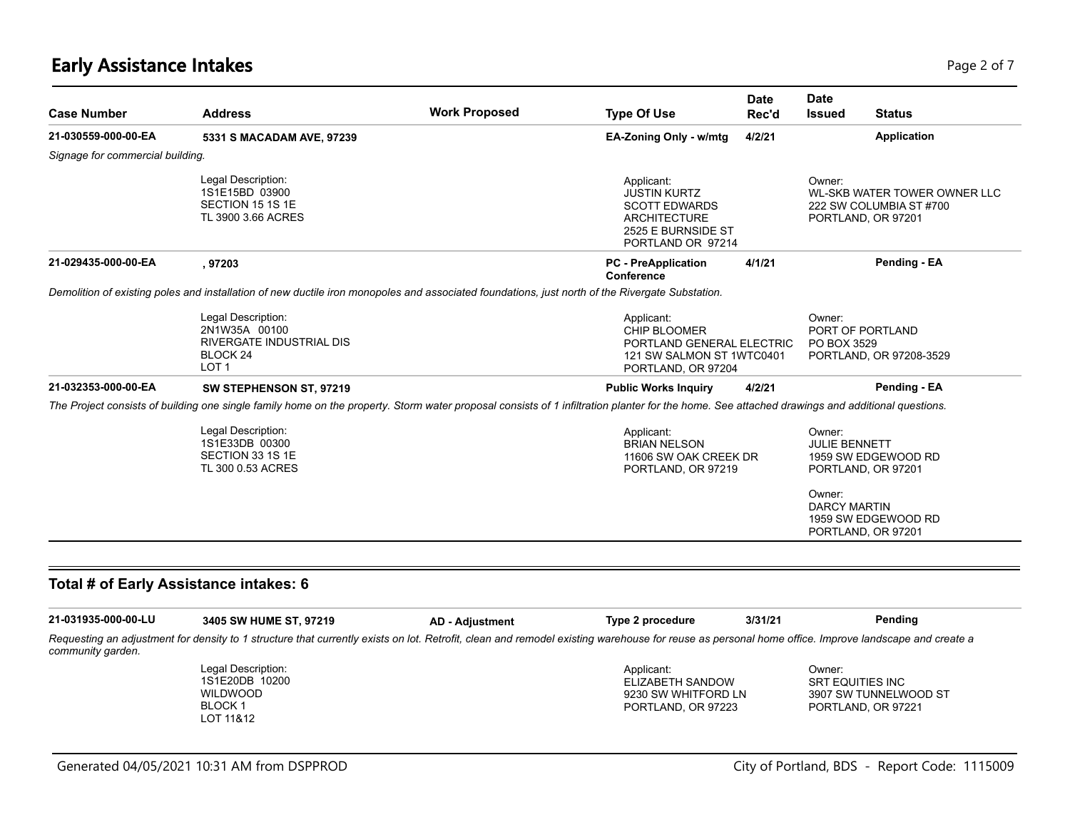## **Early Assistance Intakes** Page 2 of 7

| <b>Case Number</b>               | <b>Address</b>                                                                                                                                                                                                               | <b>Work Proposed</b>   | <b>Type Of Use</b>                                                                                                          | <b>Date</b><br>Rec'd | <b>Date</b><br><b>Issued</b> | <b>Status</b>                                                                 |
|----------------------------------|------------------------------------------------------------------------------------------------------------------------------------------------------------------------------------------------------------------------------|------------------------|-----------------------------------------------------------------------------------------------------------------------------|----------------------|------------------------------|-------------------------------------------------------------------------------|
| 21-030559-000-00-EA              | 5331 S MACADAM AVE, 97239                                                                                                                                                                                                    |                        | EA-Zoning Only - w/mtg                                                                                                      | 4/2/21               |                              | <b>Application</b>                                                            |
| Signage for commercial building. |                                                                                                                                                                                                                              |                        |                                                                                                                             |                      |                              |                                                                               |
|                                  | Legal Description:<br>1S1E15BD 03900<br>SECTION 15 1S 1E<br>TL 3900 3.66 ACRES                                                                                                                                               |                        | Applicant:<br><b>JUSTIN KURTZ</b><br><b>SCOTT EDWARDS</b><br><b>ARCHITECTURE</b><br>2525 E BURNSIDE ST<br>PORTLAND OR 97214 |                      | Owner:                       | WL-SKB WATER TOWER OWNER LLC<br>222 SW COLUMBIA ST #700<br>PORTLAND, OR 97201 |
| 21-029435-000-00-EA              | , 97203                                                                                                                                                                                                                      |                        | <b>PC</b> - PreApplication<br><b>Conference</b>                                                                             | 4/1/21               |                              | Pending - EA                                                                  |
|                                  | Demolition of existing poles and installation of new ductile iron monopoles and associated foundations, just north of the Rivergate Substation.                                                                              |                        |                                                                                                                             |                      |                              |                                                                               |
|                                  | Legal Description:<br>2N1W35A 00100<br>RIVERGATE INDUSTRIAL DIS<br>BLOCK <sub>24</sub><br>LOT <sub>1</sub>                                                                                                                   |                        | Applicant:<br><b>CHIP BLOOMER</b><br>PORTLAND GENERAL ELECTRIC<br>121 SW SALMON ST 1WTC0401<br>PORTLAND, OR 97204           |                      | Owner:<br>PO BOX 3529        | PORT OF PORTLAND<br>PORTLAND, OR 97208-3529                                   |
| 21-032353-000-00-EA              | SW STEPHENSON ST, 97219                                                                                                                                                                                                      |                        | <b>Public Works Inquiry</b>                                                                                                 | 4/2/21               |                              | Pending - EA                                                                  |
|                                  | The Project consists of building one single family home on the property. Storm water proposal consists of 1 infiltration planter for the home. See attached drawings and additional questions.                               |                        |                                                                                                                             |                      |                              |                                                                               |
|                                  | Legal Description:<br>1S1E33DB 00300<br>SECTION 33 1S 1E<br>TL 300 0.53 ACRES                                                                                                                                                |                        | Applicant:<br><b>BRIAN NELSON</b><br>11606 SW OAK CREEK DR<br>PORTLAND, OR 97219                                            |                      | Owner:<br>JULIE BENNETT      | 1959 SW EDGEWOOD RD<br>PORTLAND, OR 97201                                     |
|                                  |                                                                                                                                                                                                                              |                        |                                                                                                                             |                      | Owner:<br>DARCY MARTIN       | 1959 SW EDGEWOOD RD<br>PORTLAND, OR 97201                                     |
|                                  | Total # of Early Assistance intakes: 6                                                                                                                                                                                       |                        |                                                                                                                             |                      |                              |                                                                               |
| 21-031935-000-00-LU              |                                                                                                                                                                                                                              |                        | Type 2 procedure                                                                                                            | 3/31/21              |                              | Pending                                                                       |
| community garden.                | 3405 SW HUME ST, 97219<br>Requesting an adjustment for density to 1 structure that currently exists on lot. Retrofit, clean and remodel existing warehouse for reuse as personal home office. Improve landscape and create a | <b>AD - Adjustment</b> |                                                                                                                             |                      |                              |                                                                               |
|                                  | Legal Description:<br>1S1E20DB 10200<br><b>WILDWOOD</b><br><b>BLOCK1</b>                                                                                                                                                     |                        | Applicant:<br>ELIZABETH SANDOW<br>9230 SW WHITFORD LN<br>PORTLAND, OR 97223                                                 |                      | Owner:<br>SRT EQUITIES INC   | 3907 SW TUNNELWOOD ST<br>PORTLAND, OR 97221                                   |

LOT 11&12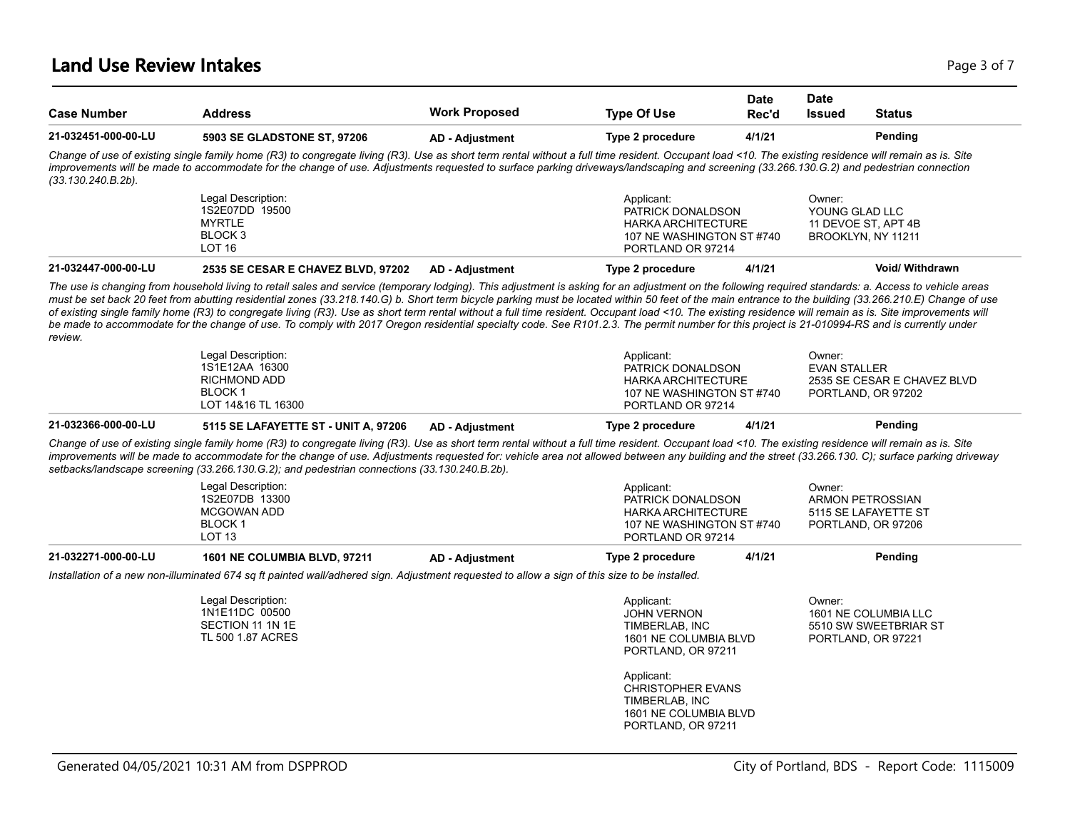| <b>Case Number</b>    | <b>Address</b>                                                                                                                                                                                                                                                                                                                                                                                                                                                                                                                                                                                                                                                                                                                                                                                                                | <b>Work Proposed</b>   | <b>Type Of Use</b>                                                                                             | <b>Date</b><br>Rec'd | <b>Date</b><br><b>Issued</b>  | <b>Status</b>                                                         |
|-----------------------|-------------------------------------------------------------------------------------------------------------------------------------------------------------------------------------------------------------------------------------------------------------------------------------------------------------------------------------------------------------------------------------------------------------------------------------------------------------------------------------------------------------------------------------------------------------------------------------------------------------------------------------------------------------------------------------------------------------------------------------------------------------------------------------------------------------------------------|------------------------|----------------------------------------------------------------------------------------------------------------|----------------------|-------------------------------|-----------------------------------------------------------------------|
| 21-032451-000-00-LU   | 5903 SE GLADSTONE ST, 97206                                                                                                                                                                                                                                                                                                                                                                                                                                                                                                                                                                                                                                                                                                                                                                                                   | <b>AD - Adjustment</b> | Type 2 procedure                                                                                               | 4/1/21               |                               | Pending                                                               |
| $(33.130.240.B.2b)$ . | Change of use of existing single family home (R3) to congregate living (R3). Use as short term rental without a full time resident. Occupant load <10. The existing residence will remain as is. Site<br>improvements will be made to accommodate for the change of use. Adjustments requested to surface parking driveways/landscaping and screening (33.266.130.G.2) and pedestrian connection                                                                                                                                                                                                                                                                                                                                                                                                                              |                        |                                                                                                                |                      |                               |                                                                       |
|                       | Legal Description:<br>1S2E07DD 19500<br><b>MYRTLE</b><br>BLOCK <sub>3</sub><br>LOT <sub>16</sub>                                                                                                                                                                                                                                                                                                                                                                                                                                                                                                                                                                                                                                                                                                                              |                        | Applicant:<br>PATRICK DONALDSON<br><b>HARKA ARCHITECTURE</b><br>107 NE WASHINGTON ST #740<br>PORTLAND OR 97214 |                      | Owner:<br>YOUNG GLAD LLC      | 11 DEVOE ST, APT 4B<br>BROOKLYN, NY 11211                             |
| 21-032447-000-00-LU   | 2535 SE CESAR E CHAVEZ BLVD, 97202                                                                                                                                                                                                                                                                                                                                                                                                                                                                                                                                                                                                                                                                                                                                                                                            | <b>AD - Adjustment</b> | Type 2 procedure                                                                                               | 4/1/21               |                               | <b>Void/ Withdrawn</b>                                                |
| review.               | The use is changing from household living to retail sales and service (temporary lodging). This adjustment is asking for an adjustment on the following required standards: a. Access to vehicle areas<br>must be set back 20 feet from abutting residential zones (33.218.140.G) b. Short term bicycle parking must be located within 50 feet of the main entrance to the building (33.266.210.E) Change of use<br>of existing single family home (R3) to congregate living (R3). Use as short term rental without a full time resident. Occupant load <10. The existing residence will remain as is. Site improvements will<br>be made to accommodate for the change of use. To comply with 2017 Oregon residential specialty code. See R101.2.3. The permit number for this project is 21-010994-RS and is currently under |                        |                                                                                                                |                      |                               |                                                                       |
|                       | Legal Description:<br>1S1E12AA 16300<br><b>RICHMOND ADD</b><br><b>BLOCK1</b><br>LOT 14&16 TL 16300                                                                                                                                                                                                                                                                                                                                                                                                                                                                                                                                                                                                                                                                                                                            |                        | Applicant:<br>PATRICK DONALDSON<br><b>HARKA ARCHITECTURE</b><br>107 NE WASHINGTON ST #740<br>PORTLAND OR 97214 |                      | Owner:<br><b>EVAN STALLER</b> | 2535 SE CESAR E CHAVEZ BLVD<br>PORTLAND, OR 97202                     |
| 21-032366-000-00-LU   | 5115 SE LAFAYETTE ST - UNIT A, 97206                                                                                                                                                                                                                                                                                                                                                                                                                                                                                                                                                                                                                                                                                                                                                                                          | <b>AD - Adjustment</b> | Type 2 procedure                                                                                               | 4/1/21               |                               | Pending                                                               |
|                       | Change of use of existing single family home (R3) to congregate living (R3). Use as short term rental without a full time resident. Occupant load <10. The existing residence will remain as is. Site<br>improvements will be made to accommodate for the change of use. Adjustments requested for: vehicle area not allowed between any building and the street (33.266.130. C); surface parking driveway<br>setbacks/landscape screening (33.266.130.G.2); and pedestrian connections (33.130.240.B.2b).                                                                                                                                                                                                                                                                                                                    |                        |                                                                                                                |                      |                               |                                                                       |
|                       | Legal Description:<br>1S2E07DB 13300<br><b>MCGOWAN ADD</b><br>BLOCK 1<br>LOT <sub>13</sub>                                                                                                                                                                                                                                                                                                                                                                                                                                                                                                                                                                                                                                                                                                                                    |                        | Applicant:<br>PATRICK DONALDSON<br><b>HARKA ARCHITECTURE</b><br>107 NE WASHINGTON ST #740<br>PORTLAND OR 97214 |                      | Owner:                        | <b>ARMON PETROSSIAN</b><br>5115 SE LAFAYETTE ST<br>PORTLAND, OR 97206 |
| 21-032271-000-00-LU   | 1601 NE COLUMBIA BLVD, 97211                                                                                                                                                                                                                                                                                                                                                                                                                                                                                                                                                                                                                                                                                                                                                                                                  | <b>AD - Adjustment</b> | Type 2 procedure                                                                                               | 4/1/21               |                               | Pending                                                               |
|                       | Installation of a new non-illuminated 674 sq ft painted wall/adhered sign. Adjustment requested to allow a sign of this size to be installed.                                                                                                                                                                                                                                                                                                                                                                                                                                                                                                                                                                                                                                                                                 |                        |                                                                                                                |                      |                               |                                                                       |
|                       | Legal Description:<br>1N1E11DC 00500<br>SECTION 11 1N 1E<br>TL 500 1.87 ACRES                                                                                                                                                                                                                                                                                                                                                                                                                                                                                                                                                                                                                                                                                                                                                 |                        | Applicant:<br><b>JOHN VERNON</b><br>TIMBERLAB. INC<br>1601 NE COLUMBIA BLVD<br>PORTLAND, OR 97211              |                      | Owner:                        | 1601 NE COLUMBIA LLC<br>5510 SW SWEETBRIAR ST<br>PORTLAND, OR 97221   |
|                       |                                                                                                                                                                                                                                                                                                                                                                                                                                                                                                                                                                                                                                                                                                                                                                                                                               |                        | Applicant:<br><b>CHRISTOPHER EVANS</b><br>TIMBERLAB, INC                                                       |                      |                               |                                                                       |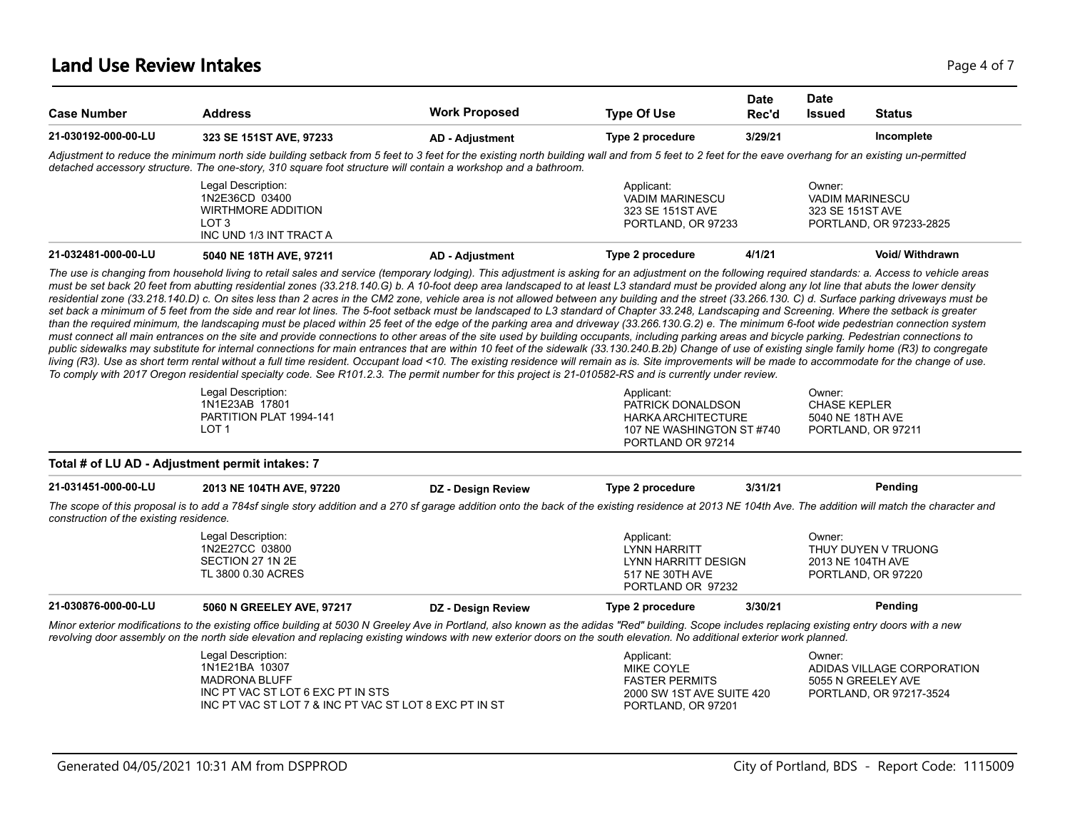### **Land Use Review Intakes** Page 4 of 7

| <b>Case Number</b>                      | <b>Address</b>                                                                                                                                                                                                                                                                                                                                                                                                                                                                                                                                                                                                                                                                                                                                                                                                                                                                                                                                                                                                                                                                                                                                                                                                                                                                                                                                                                           | <b>Work Proposed</b>   | <b>Type Of Use</b>                                                                                             | Date<br>Rec'd | <b>Date</b><br><b>Issued</b>                         | <b>Status</b>                             |
|-----------------------------------------|------------------------------------------------------------------------------------------------------------------------------------------------------------------------------------------------------------------------------------------------------------------------------------------------------------------------------------------------------------------------------------------------------------------------------------------------------------------------------------------------------------------------------------------------------------------------------------------------------------------------------------------------------------------------------------------------------------------------------------------------------------------------------------------------------------------------------------------------------------------------------------------------------------------------------------------------------------------------------------------------------------------------------------------------------------------------------------------------------------------------------------------------------------------------------------------------------------------------------------------------------------------------------------------------------------------------------------------------------------------------------------------|------------------------|----------------------------------------------------------------------------------------------------------------|---------------|------------------------------------------------------|-------------------------------------------|
| 21-030192-000-00-LU                     | 323 SE 151ST AVE, 97233                                                                                                                                                                                                                                                                                                                                                                                                                                                                                                                                                                                                                                                                                                                                                                                                                                                                                                                                                                                                                                                                                                                                                                                                                                                                                                                                                                  | <b>AD - Adjustment</b> | Type 2 procedure                                                                                               | 3/29/21       |                                                      | Incomplete                                |
|                                         | Adjustment to reduce the minimum north side building setback from 5 feet to 3 feet for the existing north building wall and from 5 feet to 2 feet for the eave overhang for an existing un-permitted<br>detached accessory structure. The one-story, 310 square foot structure will contain a workshop and a bathroom.                                                                                                                                                                                                                                                                                                                                                                                                                                                                                                                                                                                                                                                                                                                                                                                                                                                                                                                                                                                                                                                                   |                        |                                                                                                                |               |                                                      |                                           |
|                                         | Legal Description:<br>1N2E36CD 03400<br><b>WIRTHMORE ADDITION</b><br>LOT <sub>3</sub><br>INC UND 1/3 INT TRACT A                                                                                                                                                                                                                                                                                                                                                                                                                                                                                                                                                                                                                                                                                                                                                                                                                                                                                                                                                                                                                                                                                                                                                                                                                                                                         |                        | Applicant:<br><b>VADIM MARINESCU</b><br>323 SE 151ST AVE<br>PORTLAND, OR 97233                                 |               | Owner:<br><b>VADIM MARINESCU</b><br>323 SE 151ST AVE | PORTLAND, OR 97233-2825                   |
| 21-032481-000-00-LU                     | 5040 NE 18TH AVE, 97211                                                                                                                                                                                                                                                                                                                                                                                                                                                                                                                                                                                                                                                                                                                                                                                                                                                                                                                                                                                                                                                                                                                                                                                                                                                                                                                                                                  | <b>AD - Adjustment</b> | Type 2 procedure                                                                                               | 4/1/21        |                                                      | <b>Void/ Withdrawn</b>                    |
|                                         | residential zone (33.218.140.D) c. On sites less than 2 acres in the CM2 zone, vehicle area is not allowed between any building and the street (33.266.130. C) d. Surface parking driveways must be<br>set back a minimum of 5 feet from the side and rear lot lines. The 5-foot setback must be landscaped to L3 standard of Chapter 33.248, Landscaping and Screening. Where the setback is greater<br>than the required minimum, the landscaping must be placed within 25 feet of the edge of the parking area and driveway (33.266.130.G.2) e. The minimum 6-foot wide pedestrian connection system<br>must connect all main entrances on the site and provide connections to other areas of the site used by building occupants, including parking areas and bicycle parking. Pedestrian connections to<br>public sidewalks may substitute for internal connections for main entrances that are within 10 feet of the sidewalk (33.130.240.B.2b) Change of use of existing single family home (R3) to congregate<br>living (R3). Use as short term rental without a full time resident. Occupant load <10. The existing residence will remain as is. Site improvements will be made to accommodate for the change of use.<br>To comply with 2017 Oregon residential specialty code. See R101.2.3. The permit number for this project is 21-010582-RS and is currently under review. |                        |                                                                                                                |               |                                                      |                                           |
|                                         | Legal Description:<br>1N1E23AB 17801<br>PARTITION PLAT 1994-141<br>LOT <sub>1</sub>                                                                                                                                                                                                                                                                                                                                                                                                                                                                                                                                                                                                                                                                                                                                                                                                                                                                                                                                                                                                                                                                                                                                                                                                                                                                                                      |                        | Applicant:<br>PATRICK DONALDSON<br><b>HARKA ARCHITECTURE</b><br>107 NE WASHINGTON ST #740<br>PORTLAND OR 97214 |               | Owner:<br><b>CHASE KEPLER</b><br>5040 NE 18TH AVE    | PORTLAND, OR 97211                        |
|                                         | Total # of LU AD - Adjustment permit intakes: 7                                                                                                                                                                                                                                                                                                                                                                                                                                                                                                                                                                                                                                                                                                                                                                                                                                                                                                                                                                                                                                                                                                                                                                                                                                                                                                                                          |                        |                                                                                                                |               |                                                      |                                           |
| 21-031451-000-00-LU                     | 2013 NE 104TH AVE, 97220                                                                                                                                                                                                                                                                                                                                                                                                                                                                                                                                                                                                                                                                                                                                                                                                                                                                                                                                                                                                                                                                                                                                                                                                                                                                                                                                                                 | DZ - Design Review     | Type 2 procedure                                                                                               | 3/31/21       |                                                      | Pending                                   |
| construction of the existing residence. | The scope of this proposal is to add a 784sf single story addition and a 270 sf garage addition onto the back of the existing residence at 2013 NE 104th Ave. The addition will match the character and                                                                                                                                                                                                                                                                                                                                                                                                                                                                                                                                                                                                                                                                                                                                                                                                                                                                                                                                                                                                                                                                                                                                                                                  |                        |                                                                                                                |               |                                                      |                                           |
|                                         | Legal Description:<br>1N2E27CC 03800<br>SECTION 27 1N 2E<br>TL 3800 0.30 ACRES                                                                                                                                                                                                                                                                                                                                                                                                                                                                                                                                                                                                                                                                                                                                                                                                                                                                                                                                                                                                                                                                                                                                                                                                                                                                                                           |                        | Applicant:<br>LYNN HARRITT<br>LYNN HARRITT DESIGN<br>517 NE 30TH AVE<br>PORTLAND OR 97232                      |               | Owner:<br>2013 NE 104TH AVE                          | THUY DUYEN V TRUONG<br>PORTLAND, OR 97220 |
| 21-030876-000-00-LU                     | 5060 N GREELEY AVE, 97217                                                                                                                                                                                                                                                                                                                                                                                                                                                                                                                                                                                                                                                                                                                                                                                                                                                                                                                                                                                                                                                                                                                                                                                                                                                                                                                                                                | DZ - Design Review     | Type 2 procedure                                                                                               | 3/30/21       |                                                      | Pending                                   |
|                                         | Minor exterior modifications to the existing office building at 5030 N Greeley Ave in Portland, also known as the adidas "Red" building. Scope includes replacing existing entry doors with a new<br>revolving door assembly on the north side elevation and replacing existing windows with new exterior doors on the south elevation. No additional exterior work planned.                                                                                                                                                                                                                                                                                                                                                                                                                                                                                                                                                                                                                                                                                                                                                                                                                                                                                                                                                                                                             |                        |                                                                                                                |               |                                                      |                                           |
|                                         | Legal Description:                                                                                                                                                                                                                                                                                                                                                                                                                                                                                                                                                                                                                                                                                                                                                                                                                                                                                                                                                                                                                                                                                                                                                                                                                                                                                                                                                                       |                        | Applicant:<br>MIKE COYLE                                                                                       |               | Owner:<br>ADIDAS VILLAGE CORPORATION                 |                                           |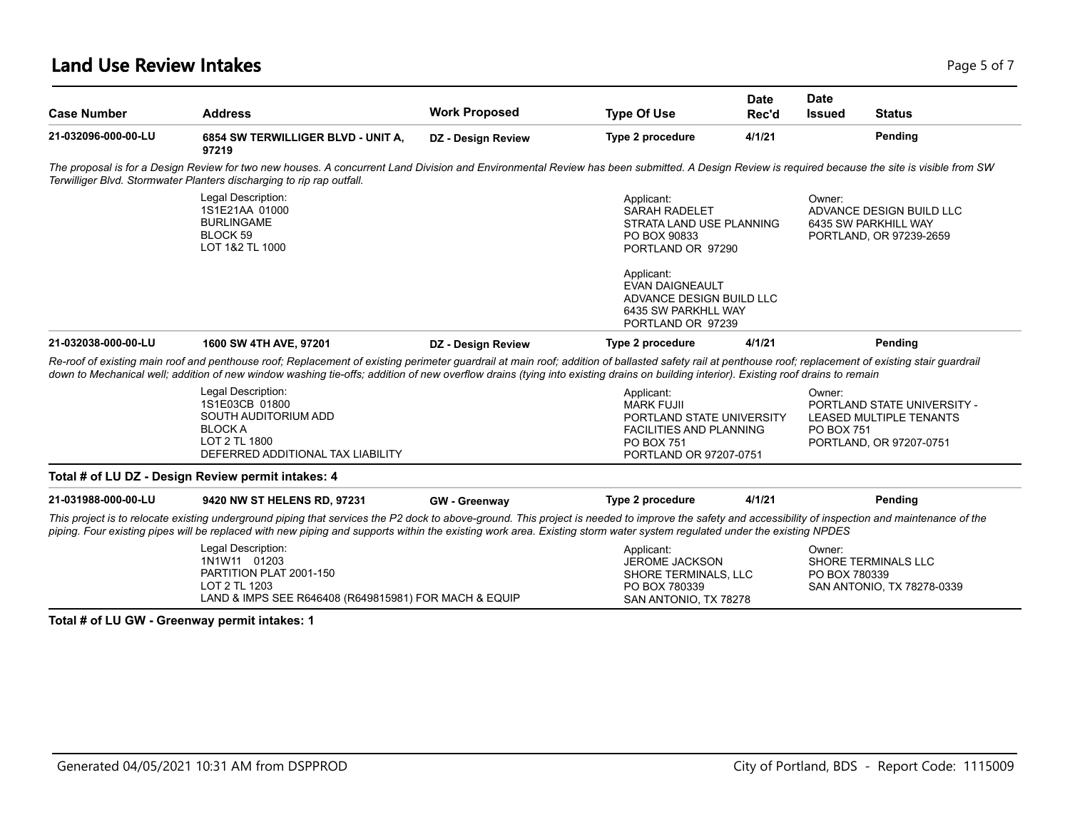### **Land Use Review Intakes** Page 5 of 7

| <b>Case Number</b>  | <b>Address</b>                                                                                                                                                                                                                                                                                                                                                                                  | <b>Work Proposed</b> | <b>Type Of Use</b>                                                                                                                                                                                                  | <b>Date</b><br>Rec'd | <b>Date</b><br><b>Issued</b> | <b>Status</b>                                                                            |
|---------------------|-------------------------------------------------------------------------------------------------------------------------------------------------------------------------------------------------------------------------------------------------------------------------------------------------------------------------------------------------------------------------------------------------|----------------------|---------------------------------------------------------------------------------------------------------------------------------------------------------------------------------------------------------------------|----------------------|------------------------------|------------------------------------------------------------------------------------------|
| 21-032096-000-00-LU | 6854 SW TERWILLIGER BLVD - UNIT A,<br>97219                                                                                                                                                                                                                                                                                                                                                     | DZ - Design Review   | Type 2 procedure                                                                                                                                                                                                    | 4/1/21               |                              | Pending                                                                                  |
|                     | The proposal is for a Design Review for two new houses. A concurrent Land Division and Environmental Review has been submitted. A Design Review is required because the site is visible from SW<br>Terwilliger Blvd. Stormwater Planters discharging to rip rap outfall.                                                                                                                        |                      |                                                                                                                                                                                                                     |                      |                              |                                                                                          |
|                     | Legal Description:<br>1S1E21AA 01000<br><b>BURLINGAME</b><br>BLOCK 59<br>LOT 1&2 TL 1000                                                                                                                                                                                                                                                                                                        |                      | Applicant:<br><b>SARAH RADELET</b><br>STRATA LAND USE PLANNING<br>PO BOX 90833<br>PORTLAND OR 97290<br>Applicant:<br><b>EVAN DAIGNEAULT</b><br>ADVANCE DESIGN BUILD LLC<br>6435 SW PARKHLL WAY<br>PORTLAND OR 97239 |                      | Owner:                       | ADVANCE DESIGN BUILD LLC<br>6435 SW PARKHILL WAY<br>PORTLAND, OR 97239-2659              |
| 21-032038-000-00-LU | 1600 SW 4TH AVE, 97201                                                                                                                                                                                                                                                                                                                                                                          | DZ - Design Review   | Type 2 procedure                                                                                                                                                                                                    | 4/1/21               |                              | Pending                                                                                  |
|                     |                                                                                                                                                                                                                                                                                                                                                                                                 |                      |                                                                                                                                                                                                                     |                      |                              |                                                                                          |
|                     | Re-roof of existing main roof and penthouse roof; Replacement of existing perimeter guardrail at main roof; addition of ballasted safety rail at penthouse roof; replacement of existing stair guardrail<br>down to Mechanical well; addition of new window washing tie-offs; addition of new overflow drains (tying into existing drains on building interior). Existing roof drains to remain |                      |                                                                                                                                                                                                                     |                      |                              |                                                                                          |
|                     | Legal Description:<br>1S1E03CB 01800<br>SOUTH AUDITORIUM ADD<br><b>BLOCK A</b><br>LOT 2 TL 1800<br>DEFERRED ADDITIONAL TAX LIABILITY                                                                                                                                                                                                                                                            |                      | Applicant:<br><b>MARK FUJII</b><br>PORTLAND STATE UNIVERSITY<br><b>FACILITIES AND PLANNING</b><br>PO BOX 751<br>PORTLAND OR 97207-0751                                                                              |                      | Owner:<br><b>PO BOX 751</b>  | PORTLAND STATE UNIVERSITY -<br><b>LEASED MULTIPLE TENANTS</b><br>PORTLAND, OR 97207-0751 |
|                     | Total # of LU DZ - Design Review permit intakes: 4                                                                                                                                                                                                                                                                                                                                              |                      |                                                                                                                                                                                                                     |                      |                              |                                                                                          |
|                     | 9420 NW ST HELENS RD, 97231                                                                                                                                                                                                                                                                                                                                                                     | <b>GW</b> - Greenway | Type 2 procedure                                                                                                                                                                                                    | 4/1/21               |                              | Pending                                                                                  |
| 21-031988-000-00-LU | This project is to relocate existing underground piping that services the P2 dock to above-ground. This project is needed to improve the safety and accessibility of inspection and maintenance of the<br>piping. Four existing pipes will be replaced with new piping and supports within the existing work area. Existing storm water system regulated under the existing NPDES               |                      |                                                                                                                                                                                                                     |                      |                              |                                                                                          |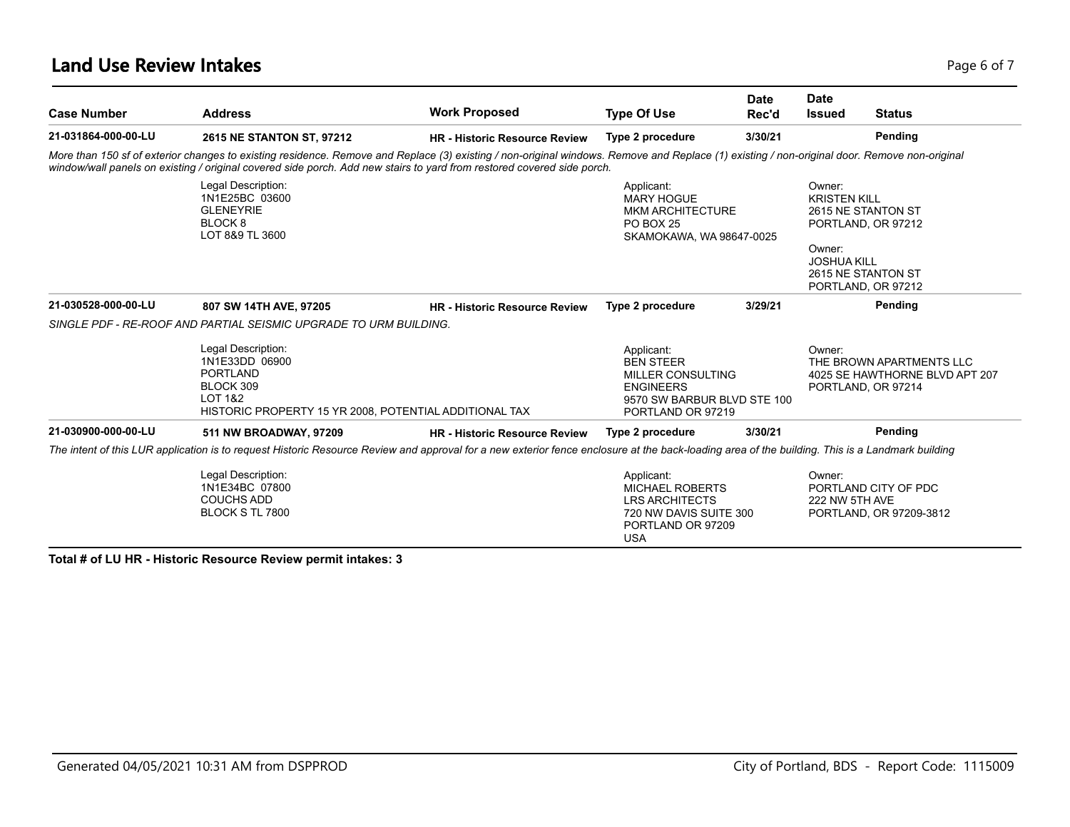### **Land Use Review Intakes** Page 6 of 7

| <b>Case Number</b>  | <b>Address</b>                                                                                                                                                                                                                                                                                                         | <b>Work Proposed</b>                 | <b>Type Of Use</b>                                                                                                                 | <b>Date</b><br>Rec'd                                                                                  | <b>Date</b><br><b>Issued</b> | <b>Status</b>                                                                    |
|---------------------|------------------------------------------------------------------------------------------------------------------------------------------------------------------------------------------------------------------------------------------------------------------------------------------------------------------------|--------------------------------------|------------------------------------------------------------------------------------------------------------------------------------|-------------------------------------------------------------------------------------------------------|------------------------------|----------------------------------------------------------------------------------|
| 21-031864-000-00-LU | 2615 NE STANTON ST, 97212                                                                                                                                                                                                                                                                                              | <b>HR - Historic Resource Review</b> | Type 2 procedure                                                                                                                   | 3/30/21                                                                                               |                              | Pending                                                                          |
|                     | More than 150 sf of exterior changes to existing residence. Remove and Replace (3) existing / non-original windows. Remove and Replace (1) existing / non-original door. Remove non-original<br>window/wall panels on existing / original covered side porch. Add new stairs to yard from restored covered side porch. |                                      |                                                                                                                                    |                                                                                                       |                              |                                                                                  |
|                     | Legal Description:<br>1N1E25BC 03600<br><b>GLENEYRIE</b><br>BLOCK 8<br>LOT 8&9 TL 3600                                                                                                                                                                                                                                 |                                      | Applicant:<br><b>MARY HOGUE</b><br><b>MKM ARCHITECTURE</b><br><b>PO BOX 25</b>                                                     | Owner:<br><b>KRISTEN KILL</b><br>2615 NE STANTON ST<br>PORTLAND, OR 97212<br>SKAMOKAWA, WA 98647-0025 |                              |                                                                                  |
|                     |                                                                                                                                                                                                                                                                                                                        |                                      |                                                                                                                                    |                                                                                                       | Owner:<br><b>JOSHUA KILL</b> | 2615 NE STANTON ST<br>PORTLAND, OR 97212                                         |
| 21-030528-000-00-LU | 807 SW 14TH AVE, 97205                                                                                                                                                                                                                                                                                                 | <b>HR</b> - Historic Resource Review | Type 2 procedure                                                                                                                   | 3/29/21                                                                                               |                              | Pending                                                                          |
|                     | SINGLE PDF - RE-ROOF AND PARTIAL SEISMIC UPGRADE TO URM BUILDING.                                                                                                                                                                                                                                                      |                                      |                                                                                                                                    |                                                                                                       |                              |                                                                                  |
|                     | Legal Description:<br>1N1E33DD 06900<br>PORTLAND<br>BLOCK 309<br>LOT 1&2<br>HISTORIC PROPERTY 15 YR 2008, POTENTIAL ADDITIONAL TAX                                                                                                                                                                                     |                                      | Applicant:<br><b>BEN STEER</b><br><b>MILLER CONSULTING</b><br><b>ENGINEERS</b><br>9570 SW BARBUR BLVD STE 100<br>PORTLAND OR 97219 |                                                                                                       | Owner:                       | THE BROWN APARTMENTS LLC<br>4025 SE HAWTHORNE BLVD APT 207<br>PORTLAND, OR 97214 |
| 21-030900-000-00-LU | 511 NW BROADWAY, 97209                                                                                                                                                                                                                                                                                                 | <b>HR - Historic Resource Review</b> | Type 2 procedure                                                                                                                   | 3/30/21                                                                                               |                              | Pending                                                                          |
|                     | The intent of this LUR application is to request Historic Resource Review and approval for a new exterior fence enclosure at the back-loading area of the building. This is a Landmark building                                                                                                                        |                                      |                                                                                                                                    |                                                                                                       |                              |                                                                                  |
|                     | Legal Description:<br>1N1E34BC 07800<br><b>COUCHS ADD</b><br>BLOCK S TL 7800                                                                                                                                                                                                                                           |                                      | Applicant:<br><b>MICHAEL ROBERTS</b><br><b>LRS ARCHITECTS</b><br>720 NW DAVIS SUITE 300<br>PORTLAND OR 97209<br><b>USA</b>         |                                                                                                       | Owner:<br>222 NW 5TH AVE     | PORTLAND CITY OF PDC<br>PORTLAND, OR 97209-3812                                  |

**Total # of LU HR - Historic Resource Review permit intakes: 3**